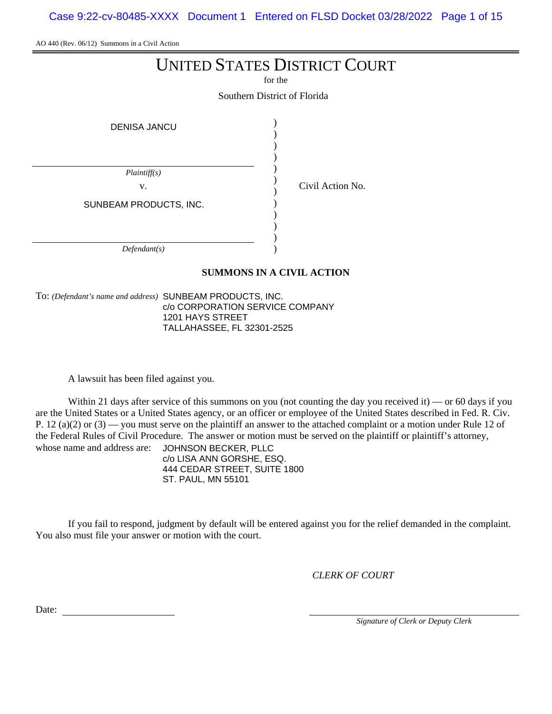Case 9:22-cv-80485-XXXX Document 1 Entered on FLSD Docket 03/28/2022 Page 1 of 15

AO 440 (Rev. 06/12) Summons in a Civil Action

# UNITED STATES DISTRICT COURT

for the

Southern District of Florida

| <b>DENISA JANCU</b>    |  |
|------------------------|--|
|                        |  |
| Plaintiff(s)           |  |
| V.                     |  |
| SUNBEAM PRODUCTS, INC. |  |
|                        |  |
|                        |  |
| Defendant(s)           |  |

Civil Action No.

**SUMMONS IN A CIVIL ACTION**

To: *(Defendant's name and address)* SUNBEAM PRODUCTS, INC. c/o CORPORATION SERVICE COMPANY 1201 HAYS STREET TALLAHASSEE, FL 32301-2525

A lawsuit has been filed against you.

Within 21 days after service of this summons on you (not counting the day you received it) — or 60 days if you are the United States or a United States agency, or an officer or employee of the United States described in Fed. R. Civ. P. 12 (a)(2) or  $(3)$  — you must serve on the plaintiff an answer to the attached complaint or a motion under Rule 12 of the Federal Rules of Civil Procedure. The answer or motion must be served on the plaintiff or plaintiff's attorney, whose name and address are: JOHNSON BECKER, PLLC

c/o LISA ANN GORSHE, ESQ. 444 CEDAR STREET, SUITE 1800 ST. PAUL, MN 55101

If you fail to respond, judgment by default will be entered against you for the relief demanded in the complaint. You also must file your answer or motion with the court.

*CLERK OF COURT*

Date:

*Signature of Clerk or Deputy Clerk*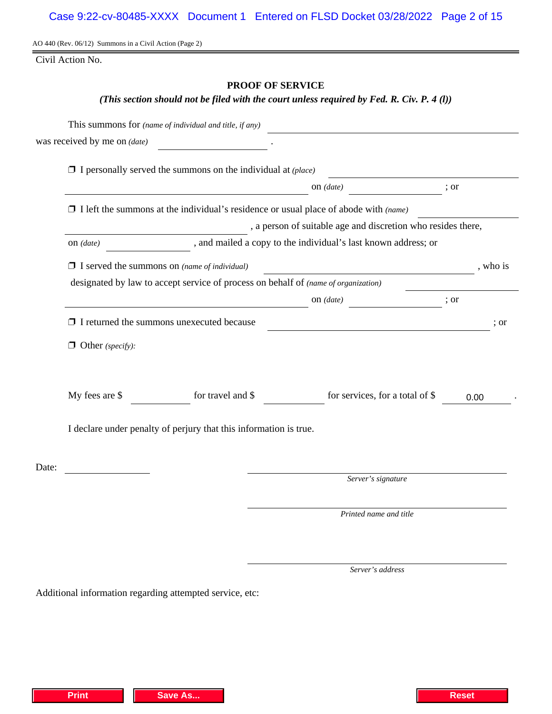AO 440 (Rev. 06/12) Summons in a Civil Action (Page 2)

Civil Action No.

# **PROOF OF SERVICE**

# *(This section should not be filed with the court unless required by Fed. R. Civ. P. 4 (l))*

|       |                                                                             | This summons for (name of individual and title, if any)                                                                                                          |                    | <u> 1989 - Jan Stein Stein Stein Stein Stein Stein Stein Stein Stein Stein Stein Stein Stein Stein Stein Stein S</u>   |          |  |  |  |  |
|-------|-----------------------------------------------------------------------------|------------------------------------------------------------------------------------------------------------------------------------------------------------------|--------------------|------------------------------------------------------------------------------------------------------------------------|----------|--|--|--|--|
|       | was received by me on (date)                                                |                                                                                                                                                                  |                    |                                                                                                                        |          |  |  |  |  |
|       |                                                                             | $\Box$ I personally served the summons on the individual at (place)                                                                                              |                    |                                                                                                                        |          |  |  |  |  |
|       |                                                                             | ; or                                                                                                                                                             |                    |                                                                                                                        |          |  |  |  |  |
|       |                                                                             | on $(date)$<br><u> 1989 - Johann Barbara, martxa amerikan per</u><br>$\Box$ I left the summons at the individual's residence or usual place of abode with (name) |                    |                                                                                                                        |          |  |  |  |  |
|       |                                                                             |                                                                                                                                                                  |                    | , a person of suitable age and discretion who resides there,                                                           |          |  |  |  |  |
|       | and mailed a copy to the individual's last known address; or<br>on $(data)$ |                                                                                                                                                                  |                    |                                                                                                                        |          |  |  |  |  |
|       |                                                                             | $\Box$ I served the summons on (name of individual)                                                                                                              |                    |                                                                                                                        | , who is |  |  |  |  |
|       |                                                                             | designated by law to accept service of process on behalf of (name of organization)                                                                               |                    |                                                                                                                        |          |  |  |  |  |
|       |                                                                             | on $(data)$ ; or                                                                                                                                                 |                    |                                                                                                                        |          |  |  |  |  |
|       |                                                                             | $\Box$ I returned the summons unexecuted because                                                                                                                 |                    | <u> 1989 - Johann Stoff, deutscher Stoffen und der Stoffen und der Stoffen und der Stoffen und der Stoffen und der</u> | ; or     |  |  |  |  |
|       | $\Box$ Other (specify):                                                     |                                                                                                                                                                  |                    |                                                                                                                        |          |  |  |  |  |
|       | My fees are \$                                                              | for travel and \$                                                                                                                                                |                    | for services, for a total of \$                                                                                        | 0.00     |  |  |  |  |
|       | I declare under penalty of perjury that this information is true.           |                                                                                                                                                                  |                    |                                                                                                                        |          |  |  |  |  |
| Date: |                                                                             |                                                                                                                                                                  |                    |                                                                                                                        |          |  |  |  |  |
|       |                                                                             |                                                                                                                                                                  | Server's signature |                                                                                                                        |          |  |  |  |  |
|       |                                                                             |                                                                                                                                                                  |                    | Printed name and title                                                                                                 |          |  |  |  |  |
|       |                                                                             |                                                                                                                                                                  |                    |                                                                                                                        |          |  |  |  |  |

*Server's address*

Additional information regarding attempted service, etc: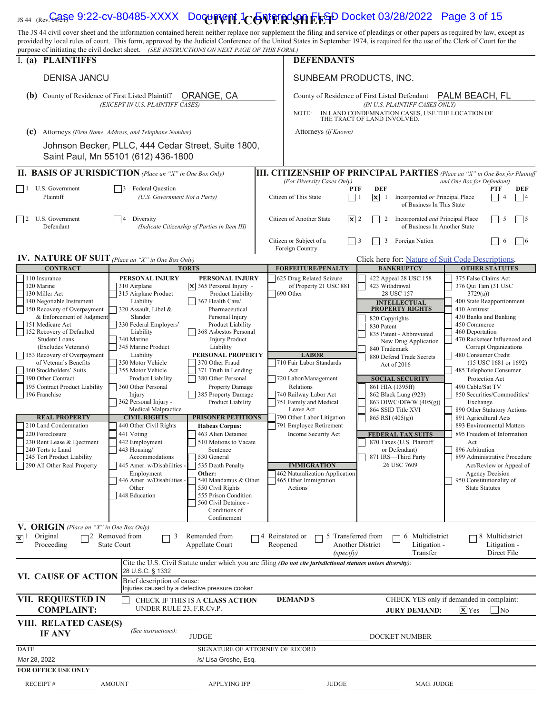| JS 44 (Rev. Gagge 9:22-CV-80485-XXXX Document 1CONTERCONFECTD Docket 03/28/2022 Page 3 of 15                                                                                                                                                                                                                                                                                                                                                                       |                                                                                            |                                                         |                                                                                                                                                                                              |                                                                                                                                |                                                                                     |  |
|--------------------------------------------------------------------------------------------------------------------------------------------------------------------------------------------------------------------------------------------------------------------------------------------------------------------------------------------------------------------------------------------------------------------------------------------------------------------|--------------------------------------------------------------------------------------------|---------------------------------------------------------|----------------------------------------------------------------------------------------------------------------------------------------------------------------------------------------------|--------------------------------------------------------------------------------------------------------------------------------|-------------------------------------------------------------------------------------|--|
| The JS 44 civil cover sheet and the information contained herein neither replace nor supplement the filing and service of pleadings or other papers as required by law, except as<br>provided by local rules of court. This form, approved by the Judicial Conference of the United States in September 1974, is required for the use of the Clerk of Court for the<br>purpose of initiating the civil docket sheet. (SEE INSTRUCTIONS ON NEXT PAGE OF THIS FORM.) |                                                                                            |                                                         |                                                                                                                                                                                              |                                                                                                                                |                                                                                     |  |
| I. (a) PLAINTIFFS                                                                                                                                                                                                                                                                                                                                                                                                                                                  |                                                                                            |                                                         | <b>DEFENDANTS</b>                                                                                                                                                                            |                                                                                                                                |                                                                                     |  |
| <b>DENISA JANCU</b>                                                                                                                                                                                                                                                                                                                                                                                                                                                |                                                                                            |                                                         | SUNBEAM PRODUCTS, INC.                                                                                                                                                                       |                                                                                                                                |                                                                                     |  |
| County of Residence of First Listed Plaintiff<br>ORANGE, CA<br>(b)<br>(EXCEPT IN U.S. PLAINTIFF CASES)                                                                                                                                                                                                                                                                                                                                                             |                                                                                            |                                                         | PALM BEACH, FL<br>County of Residence of First Listed Defendant<br>(IN U.S. PLAINTIFF CASES ONLY)<br>IN LAND CONDEMNATION CASES, USE THE LOCATION OF<br>NOTE:<br>THE TRACT OF LAND INVOLVED. |                                                                                                                                |                                                                                     |  |
| (c)                                                                                                                                                                                                                                                                                                                                                                                                                                                                | Attorneys (Firm Name, Address, and Telephone Number)                                       |                                                         | Attorneys (If Known)                                                                                                                                                                         |                                                                                                                                |                                                                                     |  |
|                                                                                                                                                                                                                                                                                                                                                                                                                                                                    | Johnson Becker, PLLC, 444 Cedar Street, Suite 1800,<br>Saint Paul, Mn 55101 (612) 436-1800 |                                                         |                                                                                                                                                                                              |                                                                                                                                |                                                                                     |  |
| <b>II. BASIS OF JURISDICTION</b> (Place an "X" in One Box Only)                                                                                                                                                                                                                                                                                                                                                                                                    |                                                                                            |                                                         |                                                                                                                                                                                              |                                                                                                                                | <b>III. CITIZENSHIP OF PRINCIPAL PARTIES</b> (Place an "X" in One Box for Plaintiff |  |
| U.S. Government<br>$\vert$ 1<br>Plaintiff                                                                                                                                                                                                                                                                                                                                                                                                                          | <b>Federal Ouestion</b><br>(U.S. Government Not a Party)                                   |                                                         | (For Diversity Cases Only)<br>Citizen of This State                                                                                                                                          | <b>DEF</b><br><b>PTF</b><br>$\vert x \vert$<br>$\vert$ 1<br>Incorporated or Principal Place<br>-1<br>of Business In This State | and One Box for Defendant)<br>PTF<br>DEF<br> 4                                      |  |
| U.S. Government<br>$\overline{12}$<br>Defendant                                                                                                                                                                                                                                                                                                                                                                                                                    | Diversity<br>$\overline{4}$                                                                | (Indicate Citizenship of Parties in Item III)           | $ \mathbf{x} $ 2<br>Citizen of Another State                                                                                                                                                 | Incorporated and Principal Place<br>2<br>of Business In Another State                                                          | 5<br>$\vert 5$                                                                      |  |
|                                                                                                                                                                                                                                                                                                                                                                                                                                                                    |                                                                                            |                                                         | Citizen or Subject of a<br>Foreign Country                                                                                                                                                   | Foreign Nation<br>3                                                                                                            | $\sqrt{6}$<br>6                                                                     |  |
| <b>IV. NATURE OF SUIT</b> (Place an "X" in One Box Only)                                                                                                                                                                                                                                                                                                                                                                                                           |                                                                                            |                                                         |                                                                                                                                                                                              | Click here for: Nature of Suit Code Descriptions.                                                                              |                                                                                     |  |
| <b>CONTRACT</b>                                                                                                                                                                                                                                                                                                                                                                                                                                                    |                                                                                            | <b>TORTS</b>                                            | <b>FORFEITURE/PENALTY</b>                                                                                                                                                                    | <b>BANKRUPTCY</b>                                                                                                              | <b>OTHER STATUTES</b>                                                               |  |
| 110 Insurance<br>120 Marine                                                                                                                                                                                                                                                                                                                                                                                                                                        | PERSONAL INJURY<br>310 Airplane                                                            | PERSONAL INJURY<br>$ \mathbf{x} $ 365 Personal Injury - | 625 Drug Related Seizure<br>of Property 21 USC 881                                                                                                                                           | 422 Appeal 28 USC 158<br>423 Withdrawal                                                                                        | 375 False Claims Act<br>376 Qui Tam (31 USC                                         |  |
| 130 Miller Act                                                                                                                                                                                                                                                                                                                                                                                                                                                     | 315 Airplane Product                                                                       | Product Liability                                       | 690 Other                                                                                                                                                                                    | 28 USC 157                                                                                                                     | 3729(a)                                                                             |  |
| 140 Negotiable Instrument<br>150 Recovery of Overpayment                                                                                                                                                                                                                                                                                                                                                                                                           | Liability<br>320 Assault, Libel &                                                          | 367 Health Care/<br>Pharmaceutical                      |                                                                                                                                                                                              | <b>INTELLECTUAL</b><br><b>PROPERTY RIGHTS</b>                                                                                  | 400 State Reapportionment<br>410 Antitrust                                          |  |
| & Enforcement of Judgment                                                                                                                                                                                                                                                                                                                                                                                                                                          | Slander                                                                                    | Personal Injury                                         |                                                                                                                                                                                              | 820 Copyrights                                                                                                                 | 430 Banks and Banking                                                               |  |
| 151 Medicare Act<br>152 Recovery of Defaulted                                                                                                                                                                                                                                                                                                                                                                                                                      | 330 Federal Employers'<br>Liability                                                        | Product Liability<br>368 Asbestos Personal              |                                                                                                                                                                                              | 830 Patent                                                                                                                     | 450 Commerce<br>460 Deportation                                                     |  |
| <b>Student Loans</b>                                                                                                                                                                                                                                                                                                                                                                                                                                               | 340 Marine                                                                                 | <b>Injury Product</b>                                   |                                                                                                                                                                                              | 835 Patent - Abbreviated<br>New Drug Application                                                                               | 470 Racketeer Influenced and                                                        |  |
| (Excludes Veterans)<br>153 Recovery of Overpayment                                                                                                                                                                                                                                                                                                                                                                                                                 | 345 Marine Product<br>Liability                                                            | Liability<br>PERSONAL PROPERTY                          | <b>LABOR</b>                                                                                                                                                                                 | 840 Trademark                                                                                                                  | Corrupt Organizations<br>480 Consumer Credit                                        |  |
| of Veteran's Benefits                                                                                                                                                                                                                                                                                                                                                                                                                                              | 350 Motor Vehicle                                                                          | 370 Other Fraud                                         | 710 Fair Labor Standards                                                                                                                                                                     | 880 Defend Trade Secrets<br>Act of 2016                                                                                        | (15 USC 1681 or 1692)                                                               |  |
| 160 Stockholders' Suits                                                                                                                                                                                                                                                                                                                                                                                                                                            | 355 Motor Vehicle                                                                          | 371 Truth in Lending                                    | Act                                                                                                                                                                                          |                                                                                                                                | 485 Telephone Consumer                                                              |  |
| 190 Other Contract<br>195 Contract Product Liability                                                                                                                                                                                                                                                                                                                                                                                                               | Product Liability<br>360 Other Personal                                                    | 380 Other Personal<br>Property Damage                   | 720 Labor/Management<br>Relations                                                                                                                                                            | <b>SOCIAL SECURITY</b><br>861 HIA (1395ff)                                                                                     | Protection Act<br>490 Cable/Sat TV                                                  |  |
| 196 Franchise                                                                                                                                                                                                                                                                                                                                                                                                                                                      | Injury                                                                                     | 385 Property Damage                                     | 740 Railway Labor Act                                                                                                                                                                        | 862 Black Lung (923)                                                                                                           | 850 Securities/Commodities/                                                         |  |
|                                                                                                                                                                                                                                                                                                                                                                                                                                                                    | 362 Personal Injury -<br>Medical Malpractice                                               | Product Liability                                       | 751 Family and Medical                                                                                                                                                                       | 863 DIWC/DIWW (405(g))                                                                                                         | Exchange                                                                            |  |
| <b>REAL PROPERTY</b>                                                                                                                                                                                                                                                                                                                                                                                                                                               | <b>CIVIL RIGHTS</b>                                                                        | <b>PRISONER PETITIONS</b>                               | Leave Act<br>790 Other Labor Litigation                                                                                                                                                      | 864 SSID Title XVI<br>865 RSI (405(g))                                                                                         | 890 Other Statutory Actions<br>891 Agricultural Acts                                |  |
| 210 Land Condemnation                                                                                                                                                                                                                                                                                                                                                                                                                                              | 440 Other Civil Rights                                                                     | <b>Habeas Corpus:</b>                                   | 791 Employee Retirement                                                                                                                                                                      |                                                                                                                                | 893 Environmental Matters                                                           |  |
| 220 Foreclosure                                                                                                                                                                                                                                                                                                                                                                                                                                                    | 441 Voting                                                                                 | 463 Alien Detainee                                      | Income Security Act                                                                                                                                                                          | <b>FEDERAL TAX SUITS</b>                                                                                                       | 895 Freedom of Information                                                          |  |
|                                                                                                                                                                                                                                                                                                                                                                                                                                                                    |                                                                                            |                                                         |                                                                                                                                                                                              | 870 Taxes (U.S. Plaintiff                                                                                                      | Act                                                                                 |  |
| 230 Rent Lease & Ejectment                                                                                                                                                                                                                                                                                                                                                                                                                                         | 442 Employment                                                                             | 510 Motions to Vacate                                   |                                                                                                                                                                                              |                                                                                                                                |                                                                                     |  |
| 240 Torts to Land<br>245 Tort Product Liability                                                                                                                                                                                                                                                                                                                                                                                                                    | 443 Housing/<br>Accommodations                                                             | Sentence<br>530 General                                 |                                                                                                                                                                                              | or Defendant)<br>871 IRS-Third Party                                                                                           | 896 Arbitration<br>899 Administrative Procedure                                     |  |
| 290 All Other Real Property                                                                                                                                                                                                                                                                                                                                                                                                                                        | 445 Amer. w/Disabilities<br>Employment                                                     | 535 Death Penalty<br>Other:                             | <b>IMMIGRATION</b><br>462 Naturalization Application                                                                                                                                         | 26 USC 7609                                                                                                                    | Act/Review or Appeal of<br><b>Agency Decision</b>                                   |  |

|                                                                           |                                                                                                                                            | 560 Civil Detainee -<br>Conditions of<br>Confinement |                                 |                                                                 |                                                       |                                                   |  |
|---------------------------------------------------------------------------|--------------------------------------------------------------------------------------------------------------------------------------------|------------------------------------------------------|---------------------------------|-----------------------------------------------------------------|-------------------------------------------------------|---------------------------------------------------|--|
| V. ORIGIN (Place an "X" in One Box Only)                                  |                                                                                                                                            |                                                      |                                 |                                                                 |                                                       |                                                   |  |
| Original<br>$\mathbf{X}$ <sup>1</sup><br>Proceeding<br><b>State Court</b> | Removed from<br>□<br>$\mathfrak z$                                                                                                         | Remanded from<br>Appellate Court                     | Reinstated or<br>Reopened       | 5 Transferred from<br>┌<br><b>Another District</b><br>(specify) | Multidistrict<br>$\sigma$<br>Litigation -<br>Transfer | Multidistrict<br>8<br>Litigation -<br>Direct File |  |
| VI. CAUSE OF ACTION                                                       | Cite the U.S. Civil Statute under which you are filing <i>(Do not cite jurisdictional statutes unless diversity)</i> :<br>28 U.S.C. § 1332 |                                                      |                                 |                                                                 |                                                       |                                                   |  |
|                                                                           | Brief description of cause:<br>Injuries caused by a defective pressure cooker                                                              |                                                      |                                 |                                                                 |                                                       |                                                   |  |
| VII. REQUESTED IN                                                         | CHECK IF THIS IS A CLASS ACTION                                                                                                            | <b>DEMAND \$</b>                                     |                                 |                                                                 | CHECK YES only if demanded in complaint:              |                                                   |  |
| <b>COMPLAINT:</b>                                                         | UNDER RULE 23, F.R.Cv.P.                                                                                                                   |                                                      |                                 | <b>JURY DEMAND:</b>                                             | $\mathbf{x}$ Yes<br>$\overline{\rm No}$               |                                                   |  |
| VIII. RELATED CASE(S)<br><b>IF ANY</b>                                    | (See instructions):                                                                                                                        | <b>JUDGE</b>                                         |                                 |                                                                 | DOCKET NUMBER                                         |                                                   |  |
|                                                                           |                                                                                                                                            |                                                      |                                 |                                                                 |                                                       |                                                   |  |
| <b>DATE</b>                                                               |                                                                                                                                            |                                                      | SIGNATURE OF ATTORNEY OF RECORD |                                                                 |                                                       |                                                   |  |
| Mar 28, 2022                                                              | /s/ Lisa Groshe, Esg.                                                                                                                      |                                                      |                                 |                                                                 |                                                       |                                                   |  |
| <b>FOR OFFICE USE ONLY</b>                                                |                                                                                                                                            |                                                      |                                 |                                                                 |                                                       |                                                   |  |
| <b>RECEIPT#</b><br><b>AMOUNT</b>                                          |                                                                                                                                            | <b>APPLYING IFP</b>                                  |                                 | <b>JUDGE</b>                                                    | MAG. JUDGE                                            |                                                   |  |

448 Education  $\parallel$  555 Prison Condition

Employment **Other: Other:**  $\begin{bmatrix} 462 \text{ Naturalization Application} \\ 540 \text{ American Solution} \end{bmatrix}$  Agency Decision 446 Amer. w/Disabilities - 540 Mandamus & Other Immigration 465 Other Immigration 950 Constitutionality of Employment China China China China China China China China China China China China China China China China China China China China China China China China China China China China China China China China China China China C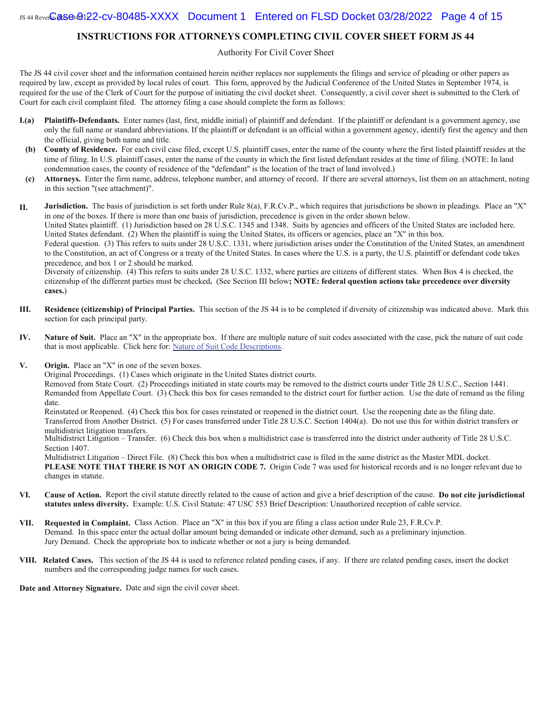#### **INSTRUCTIONS FOR ATTORNEYS COMPLETING CIVIL COVER SHEET FORM JS 44**

#### Authority For Civil Cover Sheet

The JS 44 civil cover sheet and the information contained herein neither replaces nor supplements the filings and service of pleading or other papers as required by law, except as provided by local rules of court. This form, approved by the Judicial Conference of the United States in September 1974, is required for the use of the Clerk of Court for the purpose of initiating the civil docket sheet. Consequently, a civil cover sheet is submitted to the Clerk of Court for each civil complaint filed. The attorney filing a case should complete the form as follows:

- **I.(a) Plaintiffs-Defendants.** Enter names (last, first, middle initial) of plaintiff and defendant. If the plaintiff or defendant is a government agency, use only the full name or standard abbreviations. If the plaintiff or defendant is an official within a government agency, identify first the agency and then the official, giving both name and title.
- **(b) County of Residence.** For each civil case filed, except U.S. plaintiff cases, enter the name of the county where the first listed plaintiff resides at the time of filing. In U.S. plaintiff cases, enter the name of the county in which the first listed defendant resides at the time of filing. (NOTE: In land condemnation cases, the county of residence of the "defendant" is the location of the tract of land involved.)
- **(c) Attorneys.** Enter the firm name, address, telephone number, and attorney of record. If there are several attorneys, list them on an attachment, noting in this section "(see attachment)".

**II. Jurisdiction.** The basis of jurisdiction is set forth under Rule 8(a), F.R.Cv.P., which requires that jurisdictions be shown in pleadings. Place an "X" in one of the boxes. If there is more than one basis of jurisdiction, precedence is given in the order shown below. United States plaintiff. (1) Jurisdiction based on 28 U.S.C. 1345 and 1348. Suits by agencies and officers of the United States are included here. United States defendant. (2) When the plaintiff is suing the United States, its officers or agencies, place an "X" in this box. Federal question. (3) This refers to suits under 28 U.S.C. 1331, where jurisdiction arises under the Constitution of the United States, an amendment

to the Constitution, an act of Congress or a treaty of the United States. In cases where the U.S. is a party, the U.S. plaintiff or defendant code takes precedence, and box 1 or 2 should be marked.

Diversity of citizenship. (4) This refers to suits under 28 U.S.C. 1332, where parties are citizens of different states. When Box 4 is checked, the citizenship of the different parties must be checked**.** (See Section III below**; NOTE: federal question actions take precedence over diversity cases.**)

- **III. Residence (citizenship) of Principal Parties.** This section of the JS 44 is to be completed if diversity of citizenship was indicated above. Mark this section for each principal party.
- **IV. Nature of Suit.** Place an "X" in the appropriate box. If there are multiple nature of suit codes associated with the case, pick the nature of suit code that is most applicable. Click here for: Nature of Suit Code Descriptions.
- **V. Origin.** Place an "X" in one of the seven boxes.

Original Proceedings. (1) Cases which originate in the United States district courts.

Removed from State Court. (2) Proceedings initiated in state courts may be removed to the district courts under Title 28 U.S.C., Section 1441. Remanded from Appellate Court. (3) Check this box for cases remanded to the district court for further action. Use the date of remand as the filing date.

Reinstated or Reopened. (4) Check this box for cases reinstated or reopened in the district court. Use the reopening date as the filing date. Transferred from Another District. (5) For cases transferred under Title 28 U.S.C. Section 1404(a). Do not use this for within district transfers or multidistrict litigation transfers.

Multidistrict Litigation – Transfer. (6) Check this box when a multidistrict case is transferred into the district under authority of Title 28 U.S.C. Section 1407.

Multidistrict Litigation – Direct File. (8) Check this box when a multidistrict case is filed in the same district as the Master MDL docket. **PLEASE NOTE THAT THERE IS NOT AN ORIGIN CODE 7.** Origin Code 7 was used for historical records and is no longer relevant due to changes in statute.

- **VI. Cause of Action.** Report the civil statute directly related to the cause of action and give a brief description of the cause. **Do not cite jurisdictional statutes unless diversity.** Example: U.S. Civil Statute: 47 USC 553 Brief Description: Unauthorized reception of cable service.
- **VII. Requested in Complaint.** Class Action. Place an "X" in this box if you are filing a class action under Rule 23, F.R.Cv.P. Demand. In this space enter the actual dollar amount being demanded or indicate other demand, such as a preliminary injunction. Jury Demand. Check the appropriate box to indicate whether or not a jury is being demanded.
- **VIII. Related Cases.** This section of the JS 44 is used to reference related pending cases, if any. If there are related pending cases, insert the docket numbers and the corresponding judge names for such cases.

**Date and Attorney Signature.** Date and sign the civil cover sheet.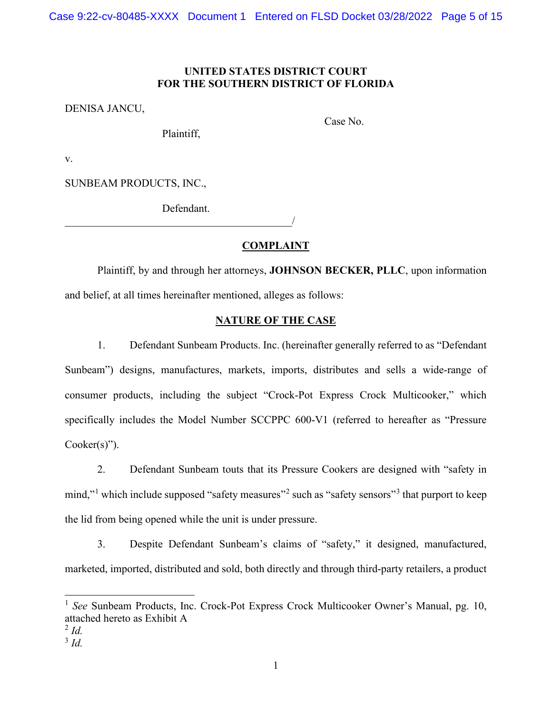# **UNITED STATES DISTRICT COURT FOR THE SOUTHERN DISTRICT OF FLORIDA**

DENISA JANCU,

Plaintiff,

Case No.

v.

SUNBEAM PRODUCTS, INC.,

Defendant.  $\overline{\phantom{a}}$ 

#### **COMPLAINT**

Plaintiff, by and through her attorneys, **JOHNSON BECKER, PLLC**, upon information and belief, at all times hereinafter mentioned, alleges as follows:

## **NATURE OF THE CASE**

1. Defendant Sunbeam Products. Inc. (hereinafter generally referred to as "Defendant Sunbeam") designs, manufactures, markets, imports, distributes and sells a wide-range of consumer products, including the subject "Crock-Pot Express Crock Multicooker," which specifically includes the Model Number SCCPPC 600-V1 (referred to hereafter as "Pressure Cooker(s)").

2. Defendant Sunbeam touts that its Pressure Cookers are designed with "safety in mind,"<sup>[1](#page-4-0)</sup> which include supposed "safety measures"<sup>[2](#page-4-1)</sup> such as "safety sensors"<sup>[3](#page-4-2)</sup> that purport to keep the lid from being opened while the unit is under pressure.

3. Despite Defendant Sunbeam's claims of "safety," it designed, manufactured, marketed, imported, distributed and sold, both directly and through third-party retailers, a product

<span id="page-4-0"></span><sup>&</sup>lt;sup>1</sup> *See* Sunbeam Products, Inc. Crock-Pot Express Crock Multicooker Owner's Manual, pg. 10, attached hereto as Exhibit A

<span id="page-4-1"></span> $^{2}$  *Id.* 

<span id="page-4-2"></span><sup>3</sup> *Id.*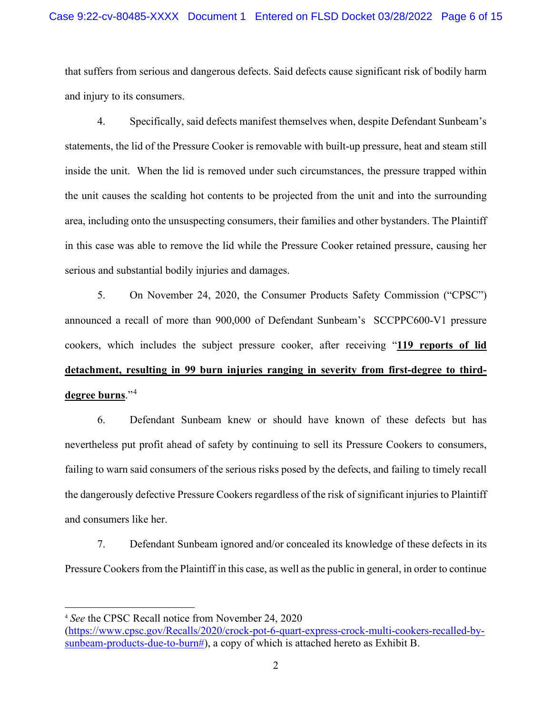that suffers from serious and dangerous defects. Said defects cause significant risk of bodily harm and injury to its consumers.

4. Specifically, said defects manifest themselves when, despite Defendant Sunbeam's statements, the lid of the Pressure Cooker is removable with built-up pressure, heat and steam still inside the unit. When the lid is removed under such circumstances, the pressure trapped within the unit causes the scalding hot contents to be projected from the unit and into the surrounding area, including onto the unsuspecting consumers, their families and other bystanders. The Plaintiff in this case was able to remove the lid while the Pressure Cooker retained pressure, causing her serious and substantial bodily injuries and damages.

5. On November 24, 2020, the Consumer Products Safety Commission ("CPSC") announced a recall of more than 900,000 of Defendant Sunbeam's SCCPPC600-V1 pressure cookers, which includes the subject pressure cooker, after receiving "**119 reports of lid detachment, resulting in 99 burn injuries ranging in severity from first-degree to thirddegree burns**."[4](#page-5-0)

6. Defendant Sunbeam knew or should have known of these defects but has nevertheless put profit ahead of safety by continuing to sell its Pressure Cookers to consumers, failing to warn said consumers of the serious risks posed by the defects, and failing to timely recall the dangerously defective Pressure Cookers regardless of the risk of significant injuries to Plaintiff and consumers like her.

7. Defendant Sunbeam ignored and/or concealed its knowledge of these defects in its Pressure Cookers from the Plaintiff in this case, as well as the public in general, in order to continue

<span id="page-5-0"></span><sup>4</sup> *See* the CPSC Recall notice from November 24, 2020

[<sup>\(</sup>https://www.cpsc.gov/Recalls/2020/crock-pot-6-quart-express-crock-multi-cookers-recalled-by](https://www.cpsc.gov/Recalls/2020/crock-pot-6-quart-express-crock-multi-cookers-recalled-by-sunbeam-products-due-to-burn)[sunbeam-products-due-to-burn#\)](https://www.cpsc.gov/Recalls/2020/crock-pot-6-quart-express-crock-multi-cookers-recalled-by-sunbeam-products-due-to-burn), a copy of which is attached hereto as Exhibit B.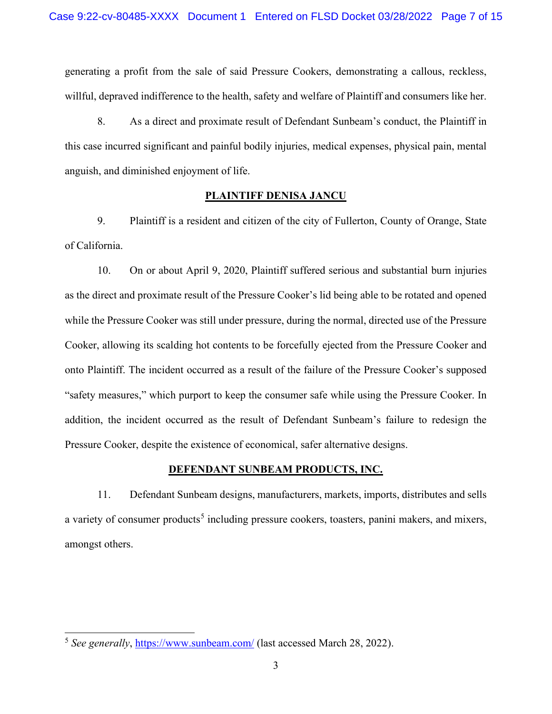generating a profit from the sale of said Pressure Cookers, demonstrating a callous, reckless, willful, depraved indifference to the health, safety and welfare of Plaintiff and consumers like her.

8. As a direct and proximate result of Defendant Sunbeam's conduct, the Plaintiff in this case incurred significant and painful bodily injuries, medical expenses, physical pain, mental anguish, and diminished enjoyment of life.

### **PLAINTIFF DENISA JANCU**

9. Plaintiff is a resident and citizen of the city of Fullerton, County of Orange, State of California.

10. On or about April 9, 2020, Plaintiff suffered serious and substantial burn injuries as the direct and proximate result of the Pressure Cooker's lid being able to be rotated and opened while the Pressure Cooker was still under pressure, during the normal, directed use of the Pressure Cooker, allowing its scalding hot contents to be forcefully ejected from the Pressure Cooker and onto Plaintiff. The incident occurred as a result of the failure of the Pressure Cooker's supposed "safety measures," which purport to keep the consumer safe while using the Pressure Cooker. In addition, the incident occurred as the result of Defendant Sunbeam's failure to redesign the Pressure Cooker, despite the existence of economical, safer alternative designs.

### **DEFENDANT SUNBEAM PRODUCTS, INC.**

11. Defendant Sunbeam designs, manufacturers, markets, imports, distributes and sells a variety of consumer products<sup>[5](#page-6-0)</sup> including pressure cookers, toasters, panini makers, and mixers, amongst others.

<span id="page-6-0"></span><sup>5</sup> *See generally*,<https://www.sunbeam.com/> (last accessed March 28, 2022).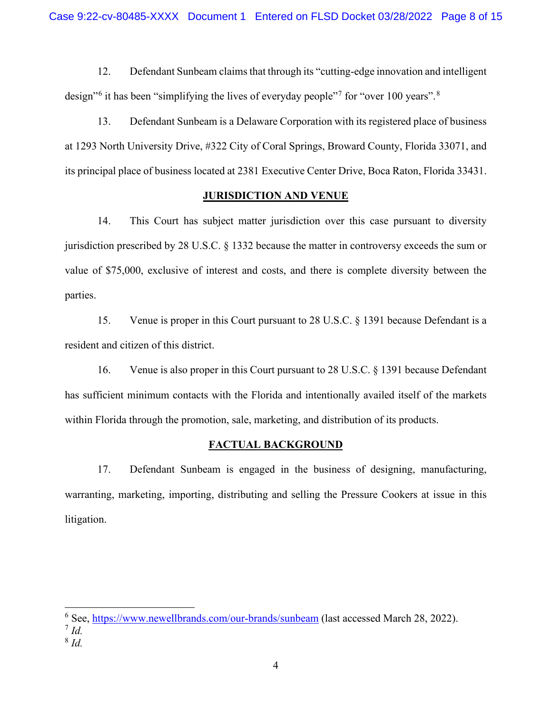12. Defendant Sunbeam claims that through its "cutting-edge innovation and intelligent design<sup>"[6](#page-7-0)</sup> it has been "simplifying the lives of everyday people"<sup>[7](#page-7-1)</sup> for "over 100 years".<sup>[8](#page-7-2)</sup>

13. Defendant Sunbeam is a Delaware Corporation with its registered place of business at 1293 North University Drive, #322 City of Coral Springs, Broward County, Florida 33071, and its principal place of business located at 2381 Executive Center Drive, Boca Raton, Florida 33431.

# **JURISDICTION AND VENUE**

14. This Court has subject matter jurisdiction over this case pursuant to diversity jurisdiction prescribed by 28 U.S.C. § 1332 because the matter in controversy exceeds the sum or value of \$75,000, exclusive of interest and costs, and there is complete diversity between the parties.

15. Venue is proper in this Court pursuant to 28 U.S.C. § 1391 because Defendant is a resident and citizen of this district.

16. Venue is also proper in this Court pursuant to 28 U.S.C. § 1391 because Defendant has sufficient minimum contacts with the Florida and intentionally availed itself of the markets within Florida through the promotion, sale, marketing, and distribution of its products.

# **FACTUAL BACKGROUND**

17. Defendant Sunbeam is engaged in the business of designing, manufacturing, warranting, marketing, importing, distributing and selling the Pressure Cookers at issue in this litigation.

<span id="page-7-0"></span><sup>6</sup> See,<https://www.newellbrands.com/our-brands/sunbeam> (last accessed March 28, 2022).

<span id="page-7-1"></span> $^7$  *Id.* 

<span id="page-7-2"></span><sup>8</sup> *Id.*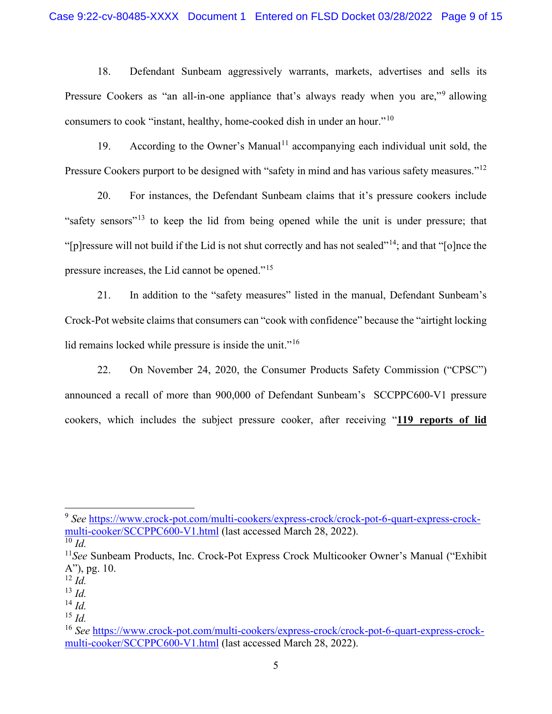18. Defendant Sunbeam aggressively warrants, markets, advertises and sells its Pressure Cookers as "an all-in-one appliance that's always ready when you are,"<sup>[9](#page-8-0)</sup> allowing consumers to cook "instant, healthy, home-cooked dish in under an hour."[10](#page-8-1)

19. According to the Owner's Manual<sup>[11](#page-8-2)</sup> accompanying each individual unit sold, the Pressure Cookers purport to be designed with "safety in mind and has various safety measures."<sup>[12](#page-8-3)</sup>

20. For instances, the Defendant Sunbeam claims that it's pressure cookers include "safety sensors"[13](#page-8-4) to keep the lid from being opened while the unit is under pressure; that "[p]ressure will not build if the Lid is not shut correctly and has not sealed"[14;](#page-8-5) and that "[o]nce the pressure increases, the Lid cannot be opened."[15](#page-8-6)

21. In addition to the "safety measures" listed in the manual, Defendant Sunbeam's Crock-Pot website claims that consumers can "cook with confidence" because the "airtight locking lid remains locked while pressure is inside the unit."<sup>[16](#page-8-7)</sup>

22. On November 24, 2020, the Consumer Products Safety Commission ("CPSC") announced a recall of more than 900,000 of Defendant Sunbeam's SCCPPC600-V1 pressure cookers, which includes the subject pressure cooker, after receiving "**119 reports of lid** 

<span id="page-8-0"></span><sup>9</sup> *See* [https://www.crock-pot.com/multi-cookers/express-crock/crock-pot-6-quart-express-crock](https://www.crock-pot.com/multi-cookers/express-crock/crock-pot-6-quart-express-crock-multi-cooker/SCCPPC600-V1.html)[multi-cooker/SCCPPC600-V1.html](https://www.crock-pot.com/multi-cookers/express-crock/crock-pot-6-quart-express-crock-multi-cooker/SCCPPC600-V1.html) (last accessed March 28, 2022).

<span id="page-8-1"></span> $10 \, \text{Id}$ 

<span id="page-8-2"></span><sup>11</sup>*See* Sunbeam Products, Inc. Crock-Pot Express Crock Multicooker Owner's Manual ("Exhibit A"), pg. 10.

<span id="page-8-3"></span><sup>12</sup> *Id.*

<span id="page-8-4"></span><sup>13</sup> *Id.*

<span id="page-8-5"></span><sup>14</sup> *Id.*

<span id="page-8-6"></span><sup>15</sup> *Id.*

<span id="page-8-7"></span><sup>16</sup> *See* [https://www.crock-pot.com/multi-cookers/express-crock/crock-pot-6-quart-express-crock](https://www.crock-pot.com/multi-cookers/express-crock/crock-pot-6-quart-express-crock-multi-cooker/SCCPPC600-V1.html)[multi-cooker/SCCPPC600-V1.html](https://www.crock-pot.com/multi-cookers/express-crock/crock-pot-6-quart-express-crock-multi-cooker/SCCPPC600-V1.html) (last accessed March 28, 2022).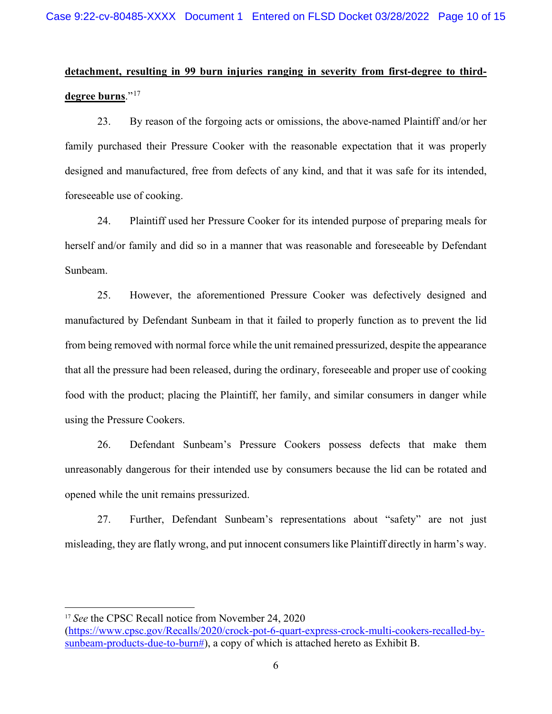# **detachment, resulting in 99 burn injuries ranging in severity from first-degree to thirddegree burns**."[17](#page-9-0)

23. By reason of the forgoing acts or omissions, the above-named Plaintiff and/or her family purchased their Pressure Cooker with the reasonable expectation that it was properly designed and manufactured, free from defects of any kind, and that it was safe for its intended, foreseeable use of cooking.

24. Plaintiff used her Pressure Cooker for its intended purpose of preparing meals for herself and/or family and did so in a manner that was reasonable and foreseeable by Defendant Sunbeam.

25. However, the aforementioned Pressure Cooker was defectively designed and manufactured by Defendant Sunbeam in that it failed to properly function as to prevent the lid from being removed with normal force while the unit remained pressurized, despite the appearance that all the pressure had been released, during the ordinary, foreseeable and proper use of cooking food with the product; placing the Plaintiff, her family, and similar consumers in danger while using the Pressure Cookers.

26. Defendant Sunbeam's Pressure Cookers possess defects that make them unreasonably dangerous for their intended use by consumers because the lid can be rotated and opened while the unit remains pressurized.

27. Further, Defendant Sunbeam's representations about "safety" are not just misleading, they are flatly wrong, and put innocent consumers like Plaintiff directly in harm's way.

<span id="page-9-0"></span><sup>&</sup>lt;sup>17</sup> See the CPSC Recall notice from November 24, 2020

[<sup>\(</sup>https://www.cpsc.gov/Recalls/2020/crock-pot-6-quart-express-crock-multi-cookers-recalled-by](https://www.cpsc.gov/Recalls/2020/crock-pot-6-quart-express-crock-multi-cookers-recalled-by-sunbeam-products-due-to-burn)[sunbeam-products-due-to-burn#\)](https://www.cpsc.gov/Recalls/2020/crock-pot-6-quart-express-crock-multi-cookers-recalled-by-sunbeam-products-due-to-burn), a copy of which is attached hereto as Exhibit B.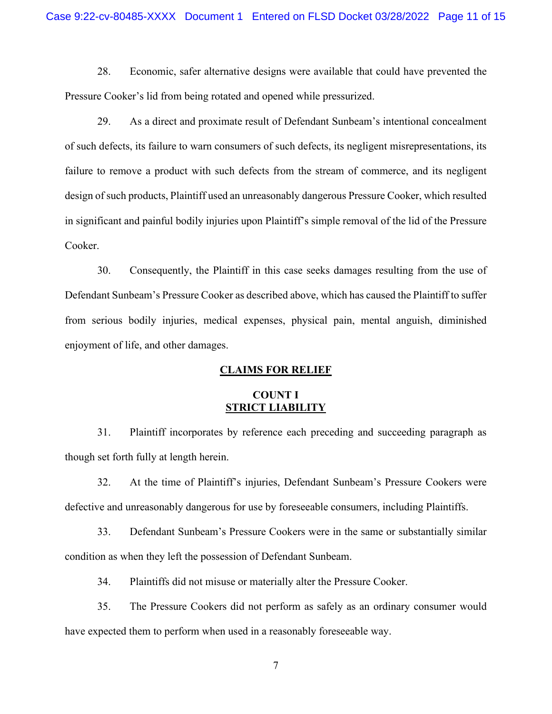28. Economic, safer alternative designs were available that could have prevented the Pressure Cooker's lid from being rotated and opened while pressurized.

29. As a direct and proximate result of Defendant Sunbeam's intentional concealment of such defects, its failure to warn consumers of such defects, its negligent misrepresentations, its failure to remove a product with such defects from the stream of commerce, and its negligent design of such products, Plaintiff used an unreasonably dangerous Pressure Cooker, which resulted in significant and painful bodily injuries upon Plaintiff's simple removal of the lid of the Pressure Cooker.

30. Consequently, the Plaintiff in this case seeks damages resulting from the use of Defendant Sunbeam's Pressure Cooker as described above, which has caused the Plaintiff to suffer from serious bodily injuries, medical expenses, physical pain, mental anguish, diminished enjoyment of life, and other damages.

### **CLAIMS FOR RELIEF**

# **COUNT I STRICT LIABILITY**

31. Plaintiff incorporates by reference each preceding and succeeding paragraph as though set forth fully at length herein.

32. At the time of Plaintiff's injuries, Defendant Sunbeam's Pressure Cookers were defective and unreasonably dangerous for use by foreseeable consumers, including Plaintiffs.

33. Defendant Sunbeam's Pressure Cookers were in the same or substantially similar condition as when they left the possession of Defendant Sunbeam.

34. Plaintiffs did not misuse or materially alter the Pressure Cooker.

35. The Pressure Cookers did not perform as safely as an ordinary consumer would have expected them to perform when used in a reasonably foreseeable way.

7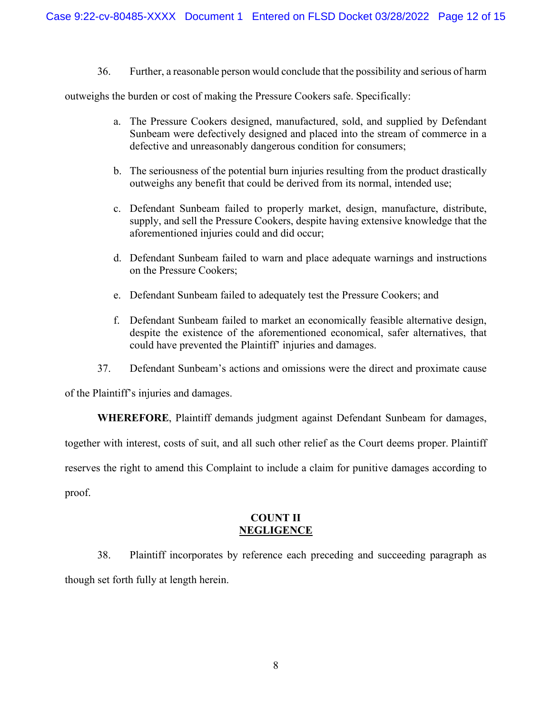36. Further, a reasonable person would conclude that the possibility and serious of harm

outweighs the burden or cost of making the Pressure Cookers safe. Specifically:

- a. The Pressure Cookers designed, manufactured, sold, and supplied by Defendant Sunbeam were defectively designed and placed into the stream of commerce in a defective and unreasonably dangerous condition for consumers;
- b. The seriousness of the potential burn injuries resulting from the product drastically outweighs any benefit that could be derived from its normal, intended use;
- c. Defendant Sunbeam failed to properly market, design, manufacture, distribute, supply, and sell the Pressure Cookers, despite having extensive knowledge that the aforementioned injuries could and did occur;
- d. Defendant Sunbeam failed to warn and place adequate warnings and instructions on the Pressure Cookers;
- e. Defendant Sunbeam failed to adequately test the Pressure Cookers; and
- f. Defendant Sunbeam failed to market an economically feasible alternative design, despite the existence of the aforementioned economical, safer alternatives, that could have prevented the Plaintiff' injuries and damages.
- 37. Defendant Sunbeam's actions and omissions were the direct and proximate cause

of the Plaintiff's injuries and damages.

**WHEREFORE**, Plaintiff demands judgment against Defendant Sunbeam for damages,

together with interest, costs of suit, and all such other relief as the Court deems proper. Plaintiff

reserves the right to amend this Complaint to include a claim for punitive damages according to

proof.

# **COUNT II NEGLIGENCE**

38. Plaintiff incorporates by reference each preceding and succeeding paragraph as though set forth fully at length herein.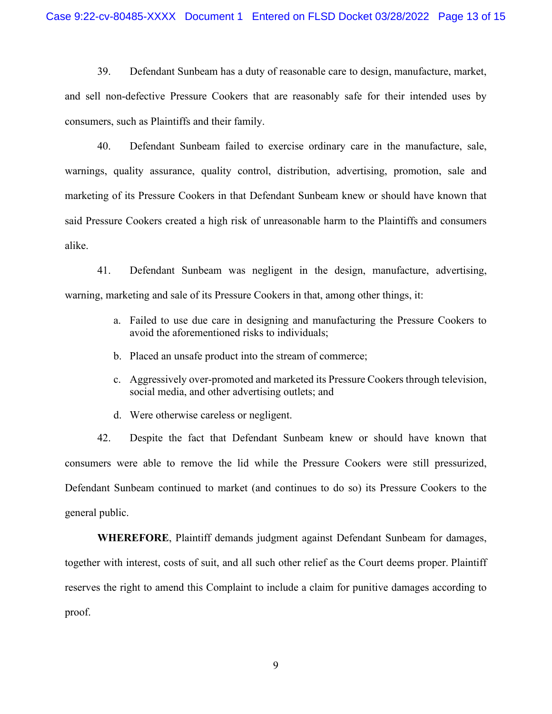39. Defendant Sunbeam has a duty of reasonable care to design, manufacture, market, and sell non-defective Pressure Cookers that are reasonably safe for their intended uses by consumers, such as Plaintiffs and their family.

40. Defendant Sunbeam failed to exercise ordinary care in the manufacture, sale, warnings, quality assurance, quality control, distribution, advertising, promotion, sale and marketing of its Pressure Cookers in that Defendant Sunbeam knew or should have known that said Pressure Cookers created a high risk of unreasonable harm to the Plaintiffs and consumers alike.

41. Defendant Sunbeam was negligent in the design, manufacture, advertising, warning, marketing and sale of its Pressure Cookers in that, among other things, it:

- a. Failed to use due care in designing and manufacturing the Pressure Cookers to avoid the aforementioned risks to individuals;
- b. Placed an unsafe product into the stream of commerce;
- c. Aggressively over-promoted and marketed its Pressure Cookers through television, social media, and other advertising outlets; and
- d. Were otherwise careless or negligent.

42. Despite the fact that Defendant Sunbeam knew or should have known that consumers were able to remove the lid while the Pressure Cookers were still pressurized, Defendant Sunbeam continued to market (and continues to do so) its Pressure Cookers to the general public.

**WHEREFORE**, Plaintiff demands judgment against Defendant Sunbeam for damages, together with interest, costs of suit, and all such other relief as the Court deems proper. Plaintiff reserves the right to amend this Complaint to include a claim for punitive damages according to proof.

9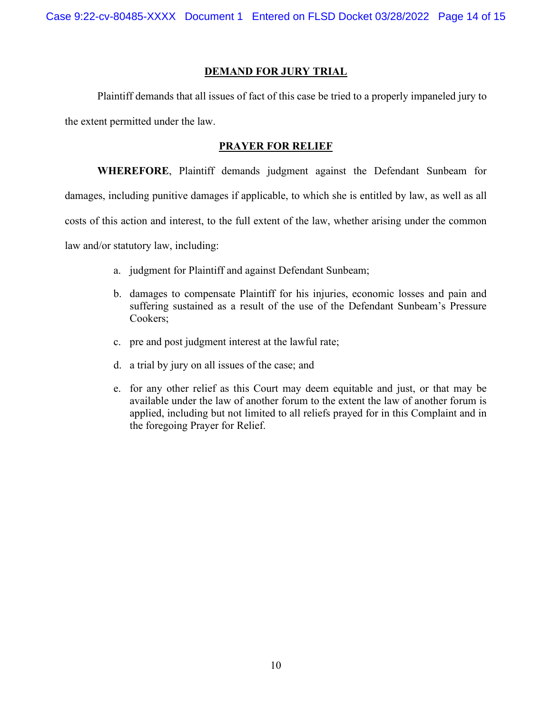Case 9:22-cv-80485-XXXX Document 1 Entered on FLSD Docket 03/28/2022 Page 14 of 15

#### **DEMAND FOR JURY TRIAL**

Plaintiff demands that all issues of fact of this case be tried to a properly impaneled jury to the extent permitted under the law.

#### **PRAYER FOR RELIEF**

**WHEREFORE**, Plaintiff demands judgment against the Defendant Sunbeam for

damages, including punitive damages if applicable, to which she is entitled by law, as well as all

costs of this action and interest, to the full extent of the law, whether arising under the common

law and/or statutory law, including:

- a. judgment for Plaintiff and against Defendant Sunbeam;
- b. damages to compensate Plaintiff for his injuries, economic losses and pain and suffering sustained as a result of the use of the Defendant Sunbeam's Pressure Cookers;
- c. pre and post judgment interest at the lawful rate;
- d. a trial by jury on all issues of the case; and
- e. for any other relief as this Court may deem equitable and just, or that may be available under the law of another forum to the extent the law of another forum is applied, including but not limited to all reliefs prayed for in this Complaint and in the foregoing Prayer for Relief.